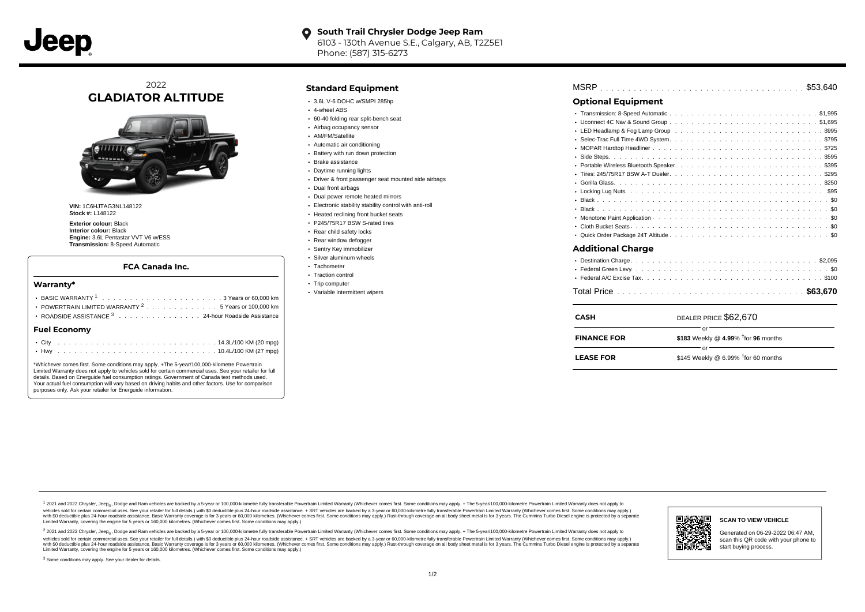

#### **South Trail Chrysler Dodge Jeep Ram**  $\bullet$ 6103 - 130th Avenue S.E., Calgary, AB, T2Z5E1 Phone: (587) 315-6273

# 2022 **GLADIATOR ALTITUDE**



**VIN:** 1C6HJTAG3NL148122 **Stock #:** L148122

**Exterior colour:** Black **Interior colour:** Black **Engine:** 3.6L Pentastar VVT V6 w/ESS **Transmission:** 8-Speed Automatic

#### **FCA Canada Inc.**

#### **Warranty\***

| POWERTRAIN LIMITED WARRANTY $^{2}$ , , , , , , , , , , , , , , 5 Years or 100,000 km<br>ROADSIDE ASSISTANCE 3 24-hour Roadside Assistance |  |  |  |  |  |  |  |  |  |  |  |  |  |  |  |  |
|-------------------------------------------------------------------------------------------------------------------------------------------|--|--|--|--|--|--|--|--|--|--|--|--|--|--|--|--|
| <b>Fuel Economy</b>                                                                                                                       |  |  |  |  |  |  |  |  |  |  |  |  |  |  |  |  |
|                                                                                                                                           |  |  |  |  |  |  |  |  |  |  |  |  |  |  |  |  |

\*Whichever comes first. Some conditions may apply. +The 5-year/100,000-kilometre Powertrain Limited Warranty does not apply to vehicles sold for certain commercial uses. See your retailer for full details. Based on Energuide fuel consumption ratings. Government of Canada test methods used. Your actual fuel consumption will vary based on driving habits and other factors. Use for comparison purposes only. Ask your retailer for Energuide information.

### **Standard Equipment**

- $\cdot$  3.6L V-6 DOHC w/SMPI 285hp
- 4-wheel ABS
- 60-40 folding rear split-bench seat
- Airbag occupancy sensor
- AM/FM/Satellite
- Automatic air conditioning
- Battery with run down protection
- Brake assistance
- Daytime running lights
- Driver & front passenger seat mounted side airbags
- Dual front airbags
- Dual power remote heated mirrors
- Electronic stability stability control with anti-roll
- Heated reclining front bucket seats
- P245/75R17 BSW S-rated tires
- Rear child safety locks
- Rear window defogger
- Sentry Key immobilizer
- Silver aluminum wheels
- Tachometer
- Traction control
- Trip computer
- Variable intermittent wipers

| MSRP |  |  |  |  |  |  |  |  |  |  |  |  |  |  |  |  |  |  |  |  |  |  |  |  |  |  |  |  |  |  |  |  |  |  |  |  |  |  |
|------|--|--|--|--|--|--|--|--|--|--|--|--|--|--|--|--|--|--|--|--|--|--|--|--|--|--|--|--|--|--|--|--|--|--|--|--|--|--|
|------|--|--|--|--|--|--|--|--|--|--|--|--|--|--|--|--|--|--|--|--|--|--|--|--|--|--|--|--|--|--|--|--|--|--|--|--|--|--|

## **Optional Equipment**

### **Additional Charge**

| CASH               | DEALER PRICE \$62,670                           |
|--------------------|-------------------------------------------------|
| <b>FINANCE FOR</b> | \$183 Weekly @ 4.99% <sup>t</sup> for 96 months |
| <b>LEASE FOR</b>   | nr<br>\$145 Weekly @ 6.99% $†$ for 60 months    |

1 2021 and 2022 Chrysler, Jeep<sub>er</sub>, Dodge and Ram vehicles are backed by a 5-year or 100,000-kilometre fully transferable Powertrain Limited Warranty (Whichever comes first. Some conditions may apply. + The 5-year/100,000vehicles sold for certain commercial uses. See your retailer for full details.) with \$0 deductible plus 24-hour roadside assistance. + SRT vehicles are backed by a 3-year or 60,000-kilometre fully transferable Powertrain L versus and contract the mean of the contract of the contract with a contract with a contract the contract of the search of the contract and a control of the contract and contract and control of the search of the search of Limited Warranty, covering the engine for 5 years or 160,000 kilometres. (Whichever comes first. Some conditions may apply.)

<sup>2</sup> 2021 and 2022 Chrysler, Jeep<sub>®</sub>, Dodge and Ram vehicles are backed by a 5-year or 100,000-kilometre fully transferable Powertrain Limited Warranty (Whichever comes first. Some conditions may apply. + The 5-year/100,000 vehicles sold for certain commercial uses. See your retailer for full details.) with SO deductible plus 24-hour roadside assistance. + SRT vehicles are backed by a 3-year or 60.000-kilometre fully transferable Powertrain L with S0 deductible plus 24-hour roadside assistance. Basic Warranty coverage is for 3 years or 60,000 kilometres. (Whichever comes first. Some conditions may apply.) Rust-through coverage on all body sheet metal is for 3 y

<sup>3</sup> Some conditions may apply. See your dealer for details.



Generated on 06-29-2022 06:47 AM, scan this QR code with your phone to start buying process.